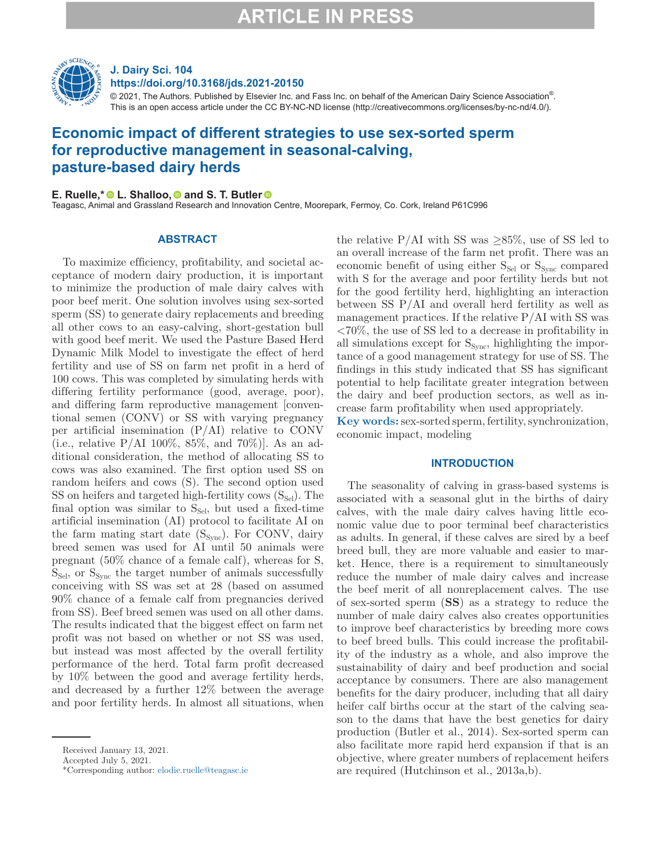

## **J. Dairy Sci. 104 https://doi.org/10.3168/jds.2021-20150**

 $@$  2021, The Authors. Published by Elsevier Inc. and Fass Inc. on behalf of the American Dairy Science Association $^{\circ}$ . This is an open access article under the CC BY-NC-ND license (http://creativecommons.org/licenses/by-nc-nd/4.0/).

## **Economic impact of different strategies to use sex-sorted sperm for reproductive management in seasonal-calving, pasture-based dairy herds**

## **E. Ruelle,\***  $\bullet$  [L](https://orcid.org/0000-0003-0077-8106). Shalloo,  $\bullet$  and S. T. Butler  $\bullet$

Teagasc, Animal and Grassland Research and Innovati[on C](https://orcid.org/0000-0003-1542-8344)entre, Moorepark, Fermoy, Co. Cork, Ireland P61C996

### **ABSTRACT**

To maximize efficiency, profitability, and societal acceptance of modern dairy production, it is important to minimize the production of male dairy calves with poor beef merit. One solution involves using sex-sorted sperm (SS) to generate dairy replacements and breeding all other cows to an easy-calving, short-gestation bull with good beef merit. We used the Pasture Based Herd Dynamic Milk Model to investigate the effect of herd fertility and use of SS on farm net profit in a herd of 100 cows. This was completed by simulating herds with differing fertility performance (good, average, poor), and differing farm reproductive management [conventional semen (CONV) or SS with varying pregnancy per artificial insemination (P/AI) relative to CONV (i.e., relative P/AI 100%, 85%, and 70%)]. As an additional consideration, the method of allocating SS to cows was also examined. The first option used SS on random heifers and cows (S). The second option used  $SS$  on heifers and targeted high-fertility cows  $(S_{Sel})$ . The final option was similar to  $S_{\text{Sel}}$ , but used a fixed-time artificial insemination (AI) protocol to facilitate AI on the farm mating start date  $(S_{Sync})$ . For CONV, dairy breed semen was used for AI until 50 animals were pregnant (50% chance of a female calf), whereas for S,  $S_{\text{Sel}}$ , or  $S_{\text{Svac}}$  the target number of animals successfully conceiving with SS was set at 28 (based on assumed 90% chance of a female calf from pregnancies derived from SS). Beef breed semen was used on all other dams. The results indicated that the biggest effect on farm net profit was not based on whether or not SS was used, but instead was most affected by the overall fertility performance of the herd. Total farm profit decreased by 10% between the good and average fertility herds, and decreased by a further 12% between the average and poor fertility herds. In almost all situations, when

the relative P/AI with SS was  $\geq 85\%$ , use of SS led to an overall increase of the farm net profit. There was an economic benefit of using either  $S_{Sel}$  or  $S_{Sync}$  compared with S for the average and poor fertility herds but not for the good fertility herd, highlighting an interaction between SS P/AI and overall herd fertility as well as management practices. If the relative  $P/AI$  with SS was <70%, the use of SS led to a decrease in profitability in all simulations except for  $S_{\text{sync}}$ , highlighting the importance of a good management strategy for use of SS. The findings in this study indicated that SS has significant potential to help facilitate greater integration between the dairy and beef production sectors, as well as increase farm profitability when used appropriately.

**Key words:** sex-sorted sperm, fertility, synchronization, economic impact, modeling

## **INTRODUCTION**

The seasonality of calving in grass-based systems is associated with a seasonal glut in the births of dairy calves, with the male dairy calves having little economic value due to poor terminal beef characteristics as adults. In general, if these calves are sired by a beef breed bull, they are more valuable and easier to market. Hence, there is a requirement to simultaneously reduce the number of male dairy calves and increase the beef merit of all nonreplacement calves. The use of sex-sorted sperm (**SS**) as a strategy to reduce the number of male dairy calves also creates opportunities to improve beef characteristics by breeding more cows to beef breed bulls. This could increase the profitability of the industry as a whole, and also improve the sustainability of dairy and beef production and social acceptance by consumers. There are also management benefits for the dairy producer, including that all dairy heifer calf births occur at the start of the calving season to the dams that have the best genetics for dairy production (Butler et al., 2014). Sex-sorted sperm can also facilitate more rapid herd expansion if that is an objective, where greater numbers of replacement heifers are required (Hutchinson et al., 2013a,b).

Received January 13, 2021.

Accepted July 5, 2021.

<sup>\*</sup>Corresponding author: [elodie.ruelle@teagasc.ie](mailto:elodie.ruelle@teagasc.ie)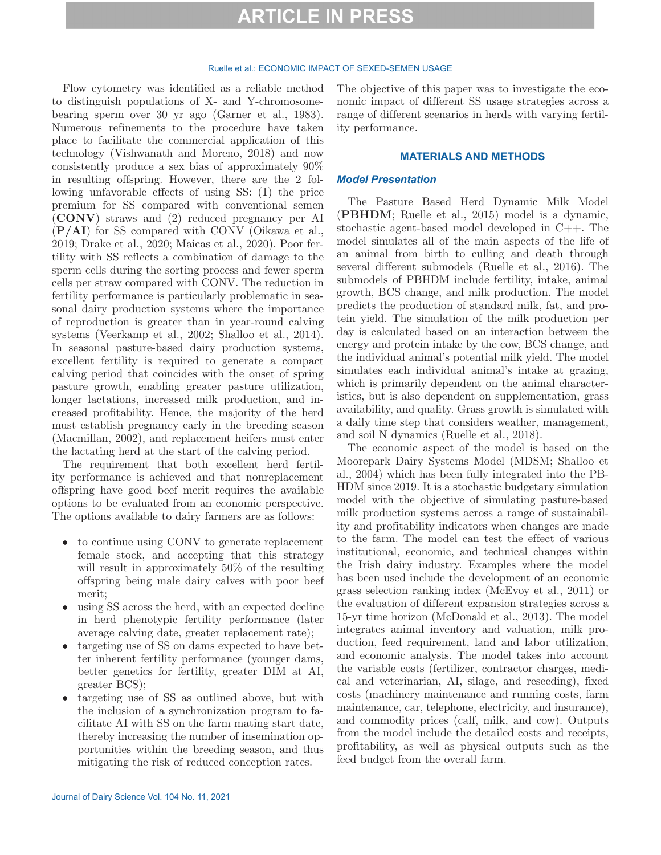#### Ruelle et al.: ECONOMIC IMPACT OF SEXED-SEMEN USAGE

Flow cytometry was identified as a reliable method to distinguish populations of X- and Y-chromosomebearing sperm over 30 yr ago (Garner et al., 1983). Numerous refinements to the procedure have taken place to facilitate the commercial application of this technology (Vishwanath and Moreno, 2018) and now consistently produce a sex bias of approximately 90% in resulting offspring. However, there are the 2 following unfavorable effects of using SS: (1) the price premium for SS compared with conventional semen (**CONV**) straws and (2) reduced pregnancy per AI (**P/AI**) for SS compared with CONV (Oikawa et al., 2019; Drake et al., 2020; Maicas et al., 2020). Poor fertility with SS reflects a combination of damage to the sperm cells during the sorting process and fewer sperm cells per straw compared with CONV. The reduction in fertility performance is particularly problematic in seasonal dairy production systems where the importance of reproduction is greater than in year-round calving systems (Veerkamp et al., 2002; Shalloo et al., 2014). In seasonal pasture-based dairy production systems, excellent fertility is required to generate a compact calving period that coincides with the onset of spring pasture growth, enabling greater pasture utilization, longer lactations, increased milk production, and increased profitability. Hence, the majority of the herd must establish pregnancy early in the breeding season (Macmillan, 2002), and replacement heifers must enter the lactating herd at the start of the calving period.

The requirement that both excellent herd fertility performance is achieved and that nonreplacement offspring have good beef merit requires the available options to be evaluated from an economic perspective. The options available to dairy farmers are as follows:

- to continue using CONV to generate replacement female stock, and accepting that this strategy will result in approximately 50% of the resulting offspring being male dairy calves with poor beef merit;
- using SS across the herd, with an expected decline in herd phenotypic fertility performance (later average calving date, greater replacement rate);
- targeting use of SS on dams expected to have better inherent fertility performance (younger dams, better genetics for fertility, greater DIM at AI, greater BCS);
- targeting use of SS as outlined above, but with the inclusion of a synchronization program to facilitate AI with SS on the farm mating start date, thereby increasing the number of insemination opportunities within the breeding season, and thus mitigating the risk of reduced conception rates.

The objective of this paper was to investigate the economic impact of different SS usage strategies across a range of different scenarios in herds with varying fertility performance.

### **MATERIALS AND METHODS**

### *Model Presentation*

The Pasture Based Herd Dynamic Milk Model (**PBHDM**; Ruelle et al., 2015) model is a dynamic, stochastic agent-based model developed in C++. The model simulates all of the main aspects of the life of an animal from birth to culling and death through several different submodels (Ruelle et al., 2016). The submodels of PBHDM include fertility, intake, animal growth, BCS change, and milk production. The model predicts the production of standard milk, fat, and protein yield. The simulation of the milk production per day is calculated based on an interaction between the energy and protein intake by the cow, BCS change, and the individual animal's potential milk yield. The model simulates each individual animal's intake at grazing, which is primarily dependent on the animal characteristics, but is also dependent on supplementation, grass availability, and quality. Grass growth is simulated with a daily time step that considers weather, management, and soil N dynamics (Ruelle et al., 2018).

The economic aspect of the model is based on the Moorepark Dairy Systems Model (MDSM; Shalloo et al., 2004) which has been fully integrated into the PB-HDM since 2019. It is a stochastic budgetary simulation model with the objective of simulating pasture-based milk production systems across a range of sustainability and profitability indicators when changes are made to the farm. The model can test the effect of various institutional, economic, and technical changes within the Irish dairy industry. Examples where the model has been used include the development of an economic grass selection ranking index (McEvoy et al., 2011) or the evaluation of different expansion strategies across a 15-yr time horizon (McDonald et al., 2013). The model integrates animal inventory and valuation, milk production, feed requirement, land and labor utilization, and economic analysis. The model takes into account the variable costs (fertilizer, contractor charges, medical and veterinarian, AI, silage, and reseeding), fixed costs (machinery maintenance and running costs, farm maintenance, car, telephone, electricity, and insurance), and commodity prices (calf, milk, and cow). Outputs from the model include the detailed costs and receipts, profitability, as well as physical outputs such as the feed budget from the overall farm.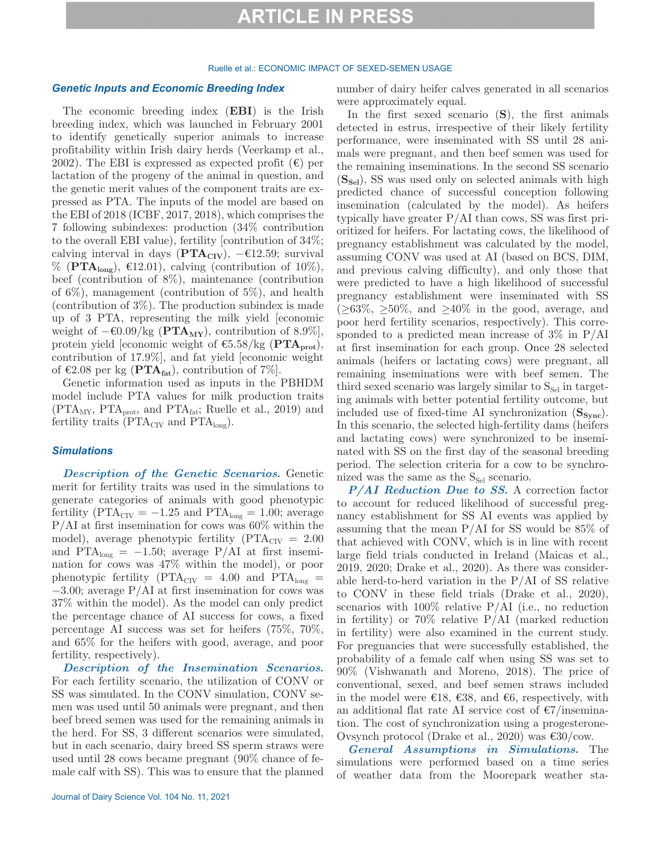### Ruelle et al.: ECONOMIC IMPACT OF SEXED-SEMEN USAGE

### *Genetic Inputs and Economic Breeding Index*

The economic breeding index (**EBI**) is the Irish breeding index, which was launched in February 2001 to identify genetically superior animals to increase profitability within Irish dairy herds (Veerkamp et al., 2002). The EBI is expressed as expected profit  $(\epsilon)$  per lactation of the progeny of the animal in question, and the genetic merit values of the component traits are expressed as PTA. The inputs of the model are based on the EBI of 2018 (ICBF, 2017, 2018), which comprises the 7 following subindexes: production (34% contribution to the overall EBI value), fertility [contribution of 34%; calving interval in days  $(PTA_{CIV})$ ,  $-€12.59$ ; survival  $\%$  (**PTA**<sub>long</sub>),  $\epsilon$ 12.01), calving (contribution of 10%), beef (contribution of 8%), maintenance (contribution of 6%), management (contribution of 5%), and health (contribution of 3%). The production subindex is made up of 3 PTA, representing the milk yield [economic weight of  $-€0.09/kg$  (**PTA<sub>MY</sub>**), contribution of 8.9%], protein yield [economic weight of  $\epsilon$ 5.58/kg (**PTA**<sub>prot</sub>), contribution of 17.9%], and fat yield [economic weight of €2.08 per kg ( $\text{PTA}_{\text{fat}}$ ), contribution of 7%].

Genetic information used as inputs in the PBHDM model include PTA values for milk production traits  $(PTA_{MY}, PTA_{prot}, and PTA_{fat}; Ruelle et al., 2019)$  and fertility traits ( $\text{PTA}_{\text{CIV}}$  and  $\text{PTA}_{\text{long}}$ ).

## *Simulations*

*Description of the Genetic Scenarios.* Genetic merit for fertility traits was used in the simulations to generate categories of animals with good phenotypic fertility ( $\text{PTA}_{\text{CIV}} = -1.25$  and  $\text{PTA}_{\text{long}} = 1.00$ ; average P/AI at first insemination for cows was 60% within the model), average phenotypic fertility ( $\text{PTA}_{\text{CIV}} = 2.00$ and PTA<sub>long</sub> =  $-1.50$ ; average P/AI at first insemination for cows was 47% within the model), or poor phenotypic fertility ( $PTA_{CIV} = 4.00$  and  $PTA_{long} =$ −3.00; average P/AI at first insemination for cows was 37% within the model). As the model can only predict the percentage chance of AI success for cows, a fixed percentage AI success was set for heifers (75%, 70%, and 65% for the heifers with good, average, and poor fertility, respectively).

*Description of the Insemination Scenarios.*  For each fertility scenario, the utilization of CONV or SS was simulated. In the CONV simulation, CONV semen was used until 50 animals were pregnant, and then beef breed semen was used for the remaining animals in the herd. For SS, 3 different scenarios were simulated, but in each scenario, dairy breed SS sperm straws were used until 28 cows became pregnant (90% chance of female calf with SS). This was to ensure that the planned number of dairy heifer calves generated in all scenarios were approximately equal.

In the first sexed scenario (**S**), the first animals detected in estrus, irrespective of their likely fertility performance, were inseminated with SS until 28 animals were pregnant, and then beef semen was used for the remaining inseminations. In the second SS scenario ( $S_{\text{Sel}}$ ), SS was used only on selected animals with high predicted chance of successful conception following insemination (calculated by the model). As heifers typically have greater P/AI than cows, SS was first prioritized for heifers. For lactating cows, the likelihood of pregnancy establishment was calculated by the model, assuming CONV was used at AI (based on BCS, DIM, and previous calving difficulty), and only those that were predicted to have a high likelihood of successful pregnancy establishment were inseminated with SS  $(\geq 63\%, \geq 50\%, \text{ and } \geq 40\% \text{ in the good, average, and})$ poor herd fertility scenarios, respectively). This corresponded to a predicted mean increase of 3% in P/AI at first insemination for each group. Once 28 selected animals (heifers or lactating cows) were pregnant, all remaining inseminations were with beef semen. The third sexed scenario was largely similar to  $S_{\text{Sel}}$  in targeting animals with better potential fertility outcome, but included use of fixed-time AI synchronization (S<sub>Sync</sub>). In this scenario, the selected high-fertility dams (heifers and lactating cows) were synchronized to be inseminated with SS on the first day of the seasonal breeding period. The selection criteria for a cow to be synchronized was the same as the  $S_{\text{Sel}}$  scenario.

*P/AI Reduction Due to SS.* A correction factor to account for reduced likelihood of successful pregnancy establishment for SS AI events was applied by assuming that the mean P/AI for SS would be 85% of that achieved with CONV, which is in line with recent large field trials conducted in Ireland (Maicas et al., 2019, 2020; Drake et al., 2020). As there was considerable herd-to-herd variation in the  $P/AI$  of SS relative to CONV in these field trials (Drake et al., 2020), scenarios with  $100\%$  relative P/AI (i.e., no reduction in fertility) or  $70\%$  relative P/AI (marked reduction in fertility) were also examined in the current study. For pregnancies that were successfully established, the probability of a female calf when using SS was set to 90% (Vishwanath and Moreno, 2018). The price of conventional, sexed, and beef semen straws included in the model were €18, €38, and €6, respectively, with an additional flat rate AI service cost of  $\epsilon$ 7/insemination. The cost of synchronization using a progesterone-Ovsynch protocol (Drake et al., 2020) was €30/cow.

*General Assumptions in Simulations.* The simulations were performed based on a time series of weather data from the Moorepark weather sta-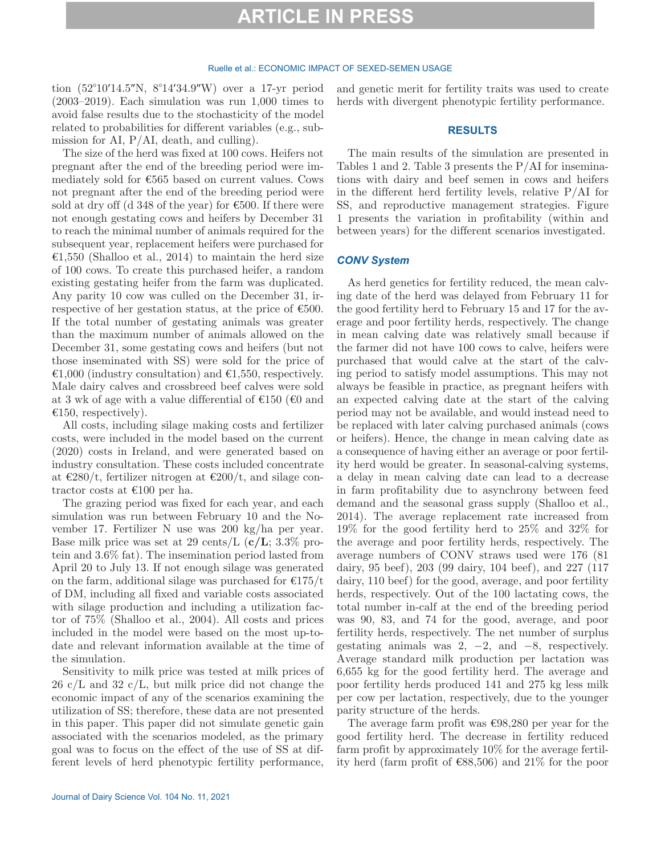#### Ruelle et al.: ECONOMIC IMPACT OF SEXED-SEMEN USAGE

tion (52°10′14.5″N, 8°14′34.9″W) over a 17-yr period (2003–2019). Each simulation was run 1,000 times to avoid false results due to the stochasticity of the model related to probabilities for different variables (e.g., submission for AI, P/AI, death, and culling).

The size of the herd was fixed at 100 cows. Heifers not pregnant after the end of the breeding period were immediately sold for €565 based on current values. Cows not pregnant after the end of the breeding period were sold at dry off (d 348 of the year) for  $\epsilon$ 500. If there were not enough gestating cows and heifers by December 31 to reach the minimal number of animals required for the subsequent year, replacement heifers were purchased for €1,550 (Shalloo et al., 2014) to maintain the herd size of 100 cows. To create this purchased heifer, a random existing gestating heifer from the farm was duplicated. Any parity 10 cow was culled on the December 31, irrespective of her gestation status, at the price of  $\epsilon$ 500. If the total number of gestating animals was greater than the maximum number of animals allowed on the December 31, some gestating cows and heifers (but not those inseminated with SS) were sold for the price of €1,000 (industry consultation) and €1,550, respectively. Male dairy calves and crossbreed beef calves were sold at 3 wk of age with a value differential of  $\epsilon$ 150 ( $\epsilon$ 0 and  $\epsilon$ 150, respectively).

All costs, including silage making costs and fertilizer costs, were included in the model based on the current (2020) costs in Ireland, and were generated based on industry consultation. These costs included concentrate at  $\epsilon$ 280/t, fertilizer nitrogen at  $\epsilon$ 200/t, and silage contractor costs at €100 per ha.

The grazing period was fixed for each year, and each simulation was run between February 10 and the November 17. Fertilizer N use was 200 kg/ha per year. Base milk price was set at 29 cents/L (**c/L**; 3.3% protein and 3.6% fat). The insemination period lasted from April 20 to July 13. If not enough silage was generated on the farm, additional silage was purchased for  $\epsilon$ 175/t of DM, including all fixed and variable costs associated with silage production and including a utilization factor of 75% (Shalloo et al., 2004). All costs and prices included in the model were based on the most up-todate and relevant information available at the time of the simulation.

Sensitivity to milk price was tested at milk prices of  $26 \text{ c/L}$  and  $32 \text{ c/L}$ , but milk price did not change the economic impact of any of the scenarios examining the utilization of SS; therefore, these data are not presented in this paper. This paper did not simulate genetic gain associated with the scenarios modeled, as the primary goal was to focus on the effect of the use of SS at different levels of herd phenotypic fertility performance,

Journal of Dairy Science Vol. 104 No. 11, 2021

and genetic merit for fertility traits was used to create herds with divergent phenotypic fertility performance.

### **RESULTS**

The main results of the simulation are presented in Tables 1 and 2. Table 3 presents the P/AI for inseminations with dairy and beef semen in cows and heifers in the different herd fertility levels, relative P/AI for SS, and reproductive management strategies. Figure 1 presents the variation in profitability (within and between years) for the different scenarios investigated.

## *CONV System*

As herd genetics for fertility reduced, the mean calving date of the herd was delayed from February 11 for the good fertility herd to February 15 and 17 for the average and poor fertility herds, respectively. The change in mean calving date was relatively small because if the farmer did not have 100 cows to calve, heifers were purchased that would calve at the start of the calving period to satisfy model assumptions. This may not always be feasible in practice, as pregnant heifers with an expected calving date at the start of the calving period may not be available, and would instead need to be replaced with later calving purchased animals (cows or heifers). Hence, the change in mean calving date as a consequence of having either an average or poor fertility herd would be greater. In seasonal-calving systems, a delay in mean calving date can lead to a decrease in farm profitability due to asynchrony between feed demand and the seasonal grass supply (Shalloo et al., 2014). The average replacement rate increased from 19% for the good fertility herd to 25% and 32% for the average and poor fertility herds, respectively. The average numbers of CONV straws used were 176 (81 dairy, 95 beef), 203 (99 dairy, 104 beef), and 227 (117 dairy, 110 beef) for the good, average, and poor fertility herds, respectively. Out of the 100 lactating cows, the total number in-calf at the end of the breeding period was 90, 83, and 74 for the good, average, and poor fertility herds, respectively. The net number of surplus gestating animals was  $2, -2, \text{ and } -8, \text{ respectively.}$ Average standard milk production per lactation was 6,655 kg for the good fertility herd. The average and poor fertility herds produced 141 and 275 kg less milk per cow per lactation, respectively, due to the younger parity structure of the herds.

The average farm profit was  $\epsilon$ 98,280 per year for the good fertility herd. The decrease in fertility reduced farm profit by approximately 10% for the average fertility herd (farm profit of €88,506) and 21% for the poor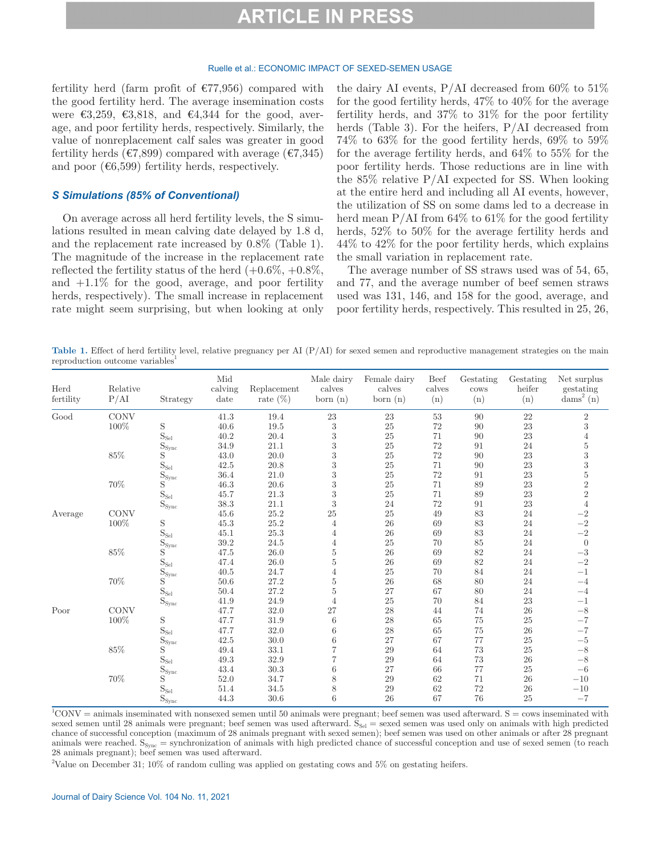#### Ruelle et al.: ECONOMIC IMPACT OF SEXED-SEMEN USAGE

fertility herd (farm profit of  $\epsilon$ 77,956) compared with the good fertility herd. The average insemination costs were  $\epsilon$ 3,259,  $\epsilon$ 3,818, and  $\epsilon$ 4,344 for the good, average, and poor fertility herds, respectively. Similarly, the value of nonreplacement calf sales was greater in good fertility herds ( $\epsilon$ 7,899) compared with average ( $\epsilon$ 7,345) and poor  $(66,599)$  fertility herds, respectively.

### *S Simulations (85% of Conventional)*

On average across all herd fertility levels, the S simulations resulted in mean calving date delayed by 1.8 d, and the replacement rate increased by 0.8% (Table 1). The magnitude of the increase in the replacement rate reflected the fertility status of the herd  $(+0.6\%, +0.8\%,$ and  $+1.1\%$  for the good, average, and poor fertility herds, respectively). The small increase in replacement rate might seem surprising, but when looking at only

the dairy AI events,  $P/AI$  decreased from 60% to 51% for the good fertility herds, 47% to 40% for the average fertility herds, and 37% to 31% for the poor fertility herds (Table 3). For the heifers, P/AI decreased from 74% to 63% for the good fertility herds, 69% to 59% for the average fertility herds, and 64% to 55% for the poor fertility herds. Those reductions are in line with the 85% relative P/AI expected for SS. When looking at the entire herd and including all AI events, however, the utilization of SS on some dams led to a decrease in herd mean  $P/AI$  from 64% to 61% for the good fertility herds, 52% to 50% for the average fertility herds and 44% to 42% for the poor fertility herds, which explains the small variation in replacement rate.

The average number of SS straws used was of 54, 65, and 77, and the average number of beef semen straws used was 131, 146, and 158 for the good, average, and poor fertility herds, respectively. This resulted in 25, 26,

Table 1. Effect of herd fertility level, relative pregnancy per AI (P/AI) for sexed semen and reproductive management strategies on the main reproduction outcome variables

| Herd<br>fertility | Relative<br>P/AI | Strategy                          | Mid<br>calving<br>date | Replacement<br>rate $(\%)$ | Male dairy<br>calves<br>born $(n)$ | Female dairy<br>calves<br>born (n) | <b>Beef</b><br>calves<br>(n) | Gestating<br>$\cos$<br>(n) | Gestating<br>heifer<br>(n) | Net surplus<br>gestating<br>$dams2$ (n)              |
|-------------------|------------------|-----------------------------------|------------------------|----------------------------|------------------------------------|------------------------------------|------------------------------|----------------------------|----------------------------|------------------------------------------------------|
| Good              | $\rm CONV$       |                                   | $41.3\,$               | 19.4                       | $23\,$                             | $\bf 23$                           | $53\,$                       | 90                         | 22                         | $\sqrt{2}$                                           |
|                   | 100%             | $\mathbf S$                       | 40.6                   | 19.5                       | 3                                  | $25\,$                             | $72\,$                       | $90\,$                     | $\bf 23$                   | $\sqrt{3}$                                           |
|                   |                  | $\mathrm{S}_\text{Sel}$           | 40.2                   | 20.4                       | $\boldsymbol{3}$                   | $25\,$                             | 71                           | 90                         | 23                         | $\overline{4}$                                       |
|                   |                  | $\mathcal{S}_{\text{sync}}$       | 34.9                   | 21.1                       | $\boldsymbol{3}$                   | $25\,$                             | $72\,$                       | 91                         | $24\,$                     | $\bf 5$                                              |
|                   | $85\%$           | S                                 | 43.0                   | $20.0\,$                   | $\boldsymbol{3}$                   | $25\,$                             | $72\,$                       | $90\,$                     | $\bf 23$                   | $\overline{3}$                                       |
|                   |                  | $\mathbf{S}_{\operatorname{Sel}}$ | 42.5                   | 20.8                       | $\boldsymbol{3}$                   | $25\,$                             | 71                           | $90\,$                     | $\bf 23$                   |                                                      |
|                   |                  | $S_{\rm{sync}}$                   | 36.4                   | 21.0                       | $\boldsymbol{3}$                   | $25\,$                             | $72\,$                       | 91                         | $\bf 23$                   |                                                      |
|                   | $70\%$           | S                                 | 46.3                   | 20.6                       | 3                                  | $25\,$                             | 71                           | $89\,$                     | 23                         | $\begin{array}{c} 3 \\ 5 \\ 2 \\ 2 \\ 4 \end{array}$ |
|                   |                  | $\mathrm{S}_\text{Sel}$           | 45.7                   | 21.3                       | 3                                  | $25\,$                             | $71\,$                       | $89\,$                     | $\bf 23$                   |                                                      |
|                   |                  | $S_{\text{sync}}$                 | $38.3\,$               | 21.1                       | 3                                  | 24                                 | $72\,$                       | 91                         | $\bf 23$                   |                                                      |
| Average           | <b>CONV</b>      |                                   | 45.6                   | 25.2                       | $25\,$                             | $25\,$                             | 49                           | $83\,$                     | 24                         |                                                      |
|                   | 100%             | $\mathbf S$                       | 45.3                   | $25.2\,$                   | 4                                  | $26\,$                             | 69                           | $83\,$                     | $24\,$                     | $\frac{-2}{-2}$<br>$\frac{-2}{-2}$                   |
|                   |                  | $\mathrm{S_{\text{Sel}}}$         | 45.1                   | 25.3                       | $\overline{4}$                     | $26\,$                             | 69                           | $83\,$                     | $24\,$                     |                                                      |
|                   |                  | $\mathcal{S}_{\text{sync}}$       | 39.2                   | 24.5                       | $\overline{4}$                     | $25\,$                             | 70                           | $85\,$                     | $24\,$                     | $\boldsymbol{0}$                                     |
|                   | $85\%$           | S                                 | $47.5\,$               | $26.0\,$                   | $\rm 5$                            | $26\,$                             | 69                           | $82\,$                     | $24\,$                     | $-3\,$                                               |
|                   |                  | $\mathbf{S}_{\operatorname{Sel}}$ | 47.4                   | 26.0                       | $\overline{5}$                     | $26\,$                             | 69                           | $82\,$                     | $24\,$                     | $-2$                                                 |
|                   |                  | $\mathbf{S}_{\text{sync}}$        | 40.5                   | 24.7                       | 4                                  | $25\,$                             | 70                           | $84\,$                     | 24                         | $-1$                                                 |
|                   | $70\%$           | S                                 | $50.6\,$               | 27.2                       | $\overline{5}$                     | $26\,$                             | 68                           | $80\,$                     | $24\,$                     | $-4\,$                                               |
|                   |                  | $\mathrm{S}_\text{Sel}$           | 50.4                   | 27.2                       | $\overline{5}$                     | $27\,$                             | 67                           | $80\,$                     | 24                         | $-4$                                                 |
|                   |                  | $S_{\rm{sync}}$                   | 41.9                   | 24.9                       | $\overline{4}$                     | $25\,$                             | 70                           | $84\,$                     | $\bf 23$                   | $-1$                                                 |
| Poor              | <b>CONV</b>      |                                   | 47.7                   | $32.0\,$                   | 27                                 | $\ensuremath{28}$                  | 44                           | $74\,$                     | $26\,$                     | $-8\,$                                               |
|                   | 100%             | $\mathbf S$                       | 47.7                   | 31.9                       | 6                                  | $28\,$                             | 65                           | $75\,$                     | $25\,$                     | $-7$                                                 |
|                   |                  | $\mathrm{S}_\text{Sel}$           | 47.7                   | 32.0                       | 6                                  | $28\,$                             | 65                           | $75\,$                     | $26\,$                     | $-7$                                                 |
|                   |                  | $\mathbf{S}_{\text{sync}}$        | 42.5                   | 30.0                       | 6                                  | 27                                 | 67                           | 77                         | $25\,$                     | $-5\,$                                               |
|                   | $85\%$           | S                                 | 49.4                   | $33.1\,$                   | $\overline{7}$                     | $\,29$                             | 64                           | $73\,$                     | 25                         | $-8$                                                 |
|                   |                  | $\mathrm{S}_{\mathrm{Sel}}$       | 49.3                   | $32.9\,$                   |                                    | $\,29$                             | 64                           | $73\,$                     | $26\,$                     | $-8\,$                                               |
|                   |                  | $\mathrm{S}_{\mathrm{sync}}$      | 43.4                   | $30.3\,$                   | 6                                  | $27\,$                             | 66                           | $77\,$                     | $25\,$                     | $-6$                                                 |
|                   | $70\%$           | S                                 | 52.0                   | 34.7                       | 8                                  | $\,29$                             | 62                           | $71\,$                     | $26\,$                     | $-10\,$                                              |
|                   |                  | $\mathrm{S}_\text{Sel}$           | 51.4                   | 34.5                       | 8                                  | $\,29$                             | 62                           | $72\,$                     | 26                         | $-10$                                                |
|                   |                  | $S_{\text{sync}}$                 | 44.3                   | $30.6\,$                   | 6                                  | 26                                 | 67                           | 76                         | 25                         | $-7$                                                 |

 ${}^{1}$ CONV = animals inseminated with nonsexed semen until 50 animals were pregnant; beef semen was used afterward. S = cows inseminated with sexed semen until 28 animals were pregnant; beef semen was used afterward.  $\tilde{S}_{\text{Sel}}$  = sexed semen was used only on animals with high predicted chance of successful conception (maximum of 28 animals pregnant with sexed semen); beef semen was used on other animals or after 28 pregnant animals were reached.  $S_{\text{Svac}} =$  synchronization of animals with high predicted chance of successful conception and use of sexed semen (to reach 28 animals pregnant); beef semen was used afterward.

2 Value on December 31; 10% of random culling was applied on gestating cows and 5% on gestating heifers.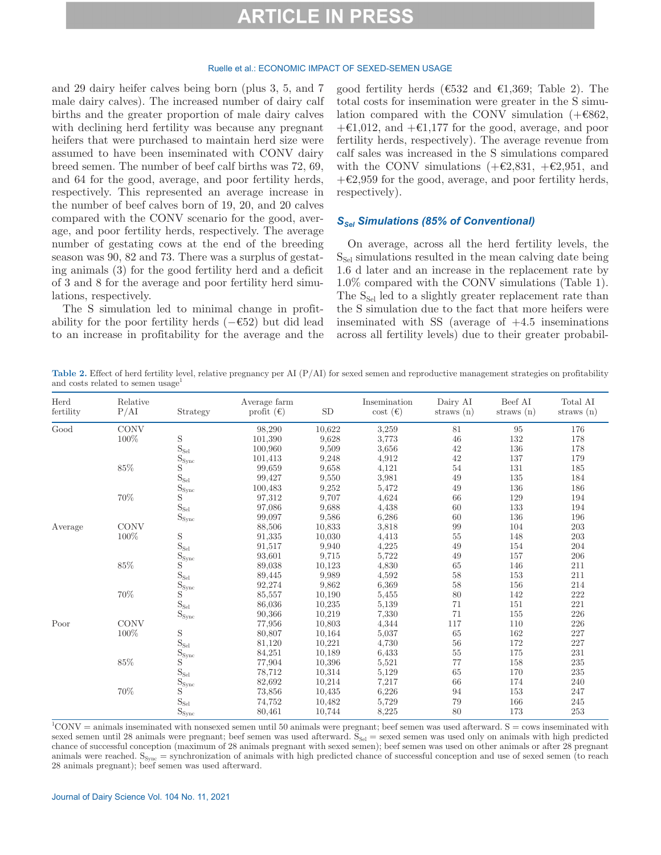### Ruelle et al.: ECONOMIC IMPACT OF SEXED-SEMEN USAGE

and 29 dairy heifer calves being born (plus 3, 5, and 7 male dairy calves). The increased number of dairy calf births and the greater proportion of male dairy calves with declining herd fertility was because any pregnant heifers that were purchased to maintain herd size were assumed to have been inseminated with CONV dairy breed semen. The number of beef calf births was 72, 69, and 64 for the good, average, and poor fertility herds, respectively. This represented an average increase in the number of beef calves born of 19, 20, and 20 calves compared with the CONV scenario for the good, average, and poor fertility herds, respectively. The average number of gestating cows at the end of the breeding season was 90, 82 and 73. There was a surplus of gestating animals (3) for the good fertility herd and a deficit of 3 and 8 for the average and poor fertility herd simulations, respectively.

The S simulation led to minimal change in profitability for the poor fertility herds  $(-\epsilon 52)$  but did lead to an increase in profitability for the average and the good fertility herds ( $\epsilon$ 532 and  $\epsilon$ 1,369; Table 2). The total costs for insemination were greater in the S simulation compared with the CONV simulation  $(+6862,$  $+\epsilon 1.012$ , and  $+\epsilon 1.177$  for the good, average, and poor fertility herds, respectively). The average revenue from calf sales was increased in the S simulations compared with the CONV simulations  $(+\epsilon 2, 831, +\epsilon 2, 951,$  and  $+\epsilon 2.959$  for the good, average, and poor fertility herds, respectively).

### *SSel Simulations (85% of Conventional)*

On average, across all the herd fertility levels, the  $S_{\text{Sel}}$  simulations resulted in the mean calving date being 1.6 d later and an increase in the replacement rate by 1.0% compared with the CONV simulations (Table 1). The S<sub>Sel</sub> led to a slightly greater replacement rate than the S simulation due to the fact that more heifers were inseminated with SS (average of  $+4.5$  inseminations across all fertility levels) due to their greater probabil-

**Table 2.** Effect of herd fertility level, relative pregnancy per AI (P/AI) for sexed semen and reproductive management strategies on profitability and costs related to semen usage<sup>1</sup>

| Herd<br>fertility | Relative<br>P/AI | Strategy                    | Average farm<br>profit $(\epsilon)$ | SD     | Insemination<br>$\cot(\epsilon)$ | Dairy AI<br>straws $(n)$ | Beef AI<br>straws $(n)$ | Total AI<br>straws $(n)$ |
|-------------------|------------------|-----------------------------|-------------------------------------|--------|----------------------------------|--------------------------|-------------------------|--------------------------|
| Good              | CONV             |                             | 98,290                              | 10,622 | 3,259                            | 81                       | 95                      | 176                      |
|                   | 100%             | S                           | 101,390                             | 9,628  | 3,773                            | 46                       | 132                     | 178                      |
|                   |                  | $\mathrm{S}_\text{Sel}$     | 100,960                             | 9,509  | 3,656                            | 42                       | 136                     | 178                      |
|                   |                  | $S_{\text{sync}}$           | 101,413                             | 9,248  | 4,912                            | 42                       | 137                     | 179                      |
|                   | $85\%$           | S                           | 99,659                              | 9,658  | 4,121                            | 54                       | 131                     | 185                      |
|                   |                  | $\rm S_{\rm Sel}$           | 99,427                              | 9,550  | 3,981                            | 49                       | 135                     | 184                      |
|                   |                  | $S_{\text{sync}}$           | 100,483                             | 9,252  | 5,472                            | 49                       | 136                     | 186                      |
|                   | $70\%$           | S                           | 97,312                              | 9,707  | 4,624                            | 66                       | 129                     | 194                      |
|                   |                  | $\rm S_{\rm Sel}$           | 97,086                              | 9,688  | 4,438                            | 60                       | 133                     | 194                      |
|                   |                  | $S_{\rm sync}$              | 99,097                              | 9,586  | 6,286                            | 60                       | 136                     | 196                      |
| Average           | <b>CONV</b>      |                             | 88,506                              | 10,833 | 3,818                            | 99                       | 104                     | 203                      |
|                   | 100%             | S                           | 91,335                              | 10,030 | 4,413                            | 55                       | 148                     | 203                      |
|                   |                  | $\mathrm{S}_\text{Sel}$     | 91,517                              | 9,940  | 4,225                            | 49                       | 154                     | 204                      |
|                   |                  | $S_{\text{sync}}$           | 93,601                              | 9,715  | 5,722                            | 49                       | 157                     | 206                      |
|                   | $85\%$           | S                           | 89,038                              | 10,123 | 4,830                            | 65                       | 146                     | 211                      |
|                   |                  | $\mathrm{S}_{\mathrm{Sel}}$ | 89,445                              | 9,989  | 4,592                            | 58                       | 153                     | 211                      |
|                   |                  | $S_{\text{sync}}$           | 92,274                              | 9,862  | 6,369                            | 58                       | 156                     | 214                      |
|                   | 70%              | $\mathbf{S}$                | 85,557                              | 10,190 | 5,455                            | 80                       | 142                     | 222                      |
|                   |                  | $\mathrm{S}_\text{Sel}$     | 86,036                              | 10,235 | 5,139                            | 71                       | 151                     | 221                      |
|                   |                  | $S_{\text{sync}}$           | 90,366                              | 10,219 | 7,330                            | 71                       | 155                     | 226                      |
| Poor              | <b>CONV</b>      |                             | 77,956                              | 10,803 | 4,344                            | 117                      | 110                     | 226                      |
|                   | 100%             | S                           | 80,807                              | 10,164 | 5,037                            | 65                       | 162                     | 227                      |
|                   |                  | $\rm S_{\rm Sel}$           | 81,120                              | 10,221 | 4,730                            | 56                       | 172                     | 227                      |
|                   |                  | $S_{\text{sync}}$           | 84,251                              | 10,189 | 6,433                            | 55                       | 175                     | 231                      |
|                   | $85\%$           | S                           | 77,904                              | 10,396 | 5,521                            | 77                       | 158                     | $235\,$                  |
|                   |                  | $\rm S_{\rm Sel}$           | 78,712                              | 10,314 | 5,129                            | 65                       | 170                     | 235                      |
|                   |                  | $S_{\text{sync}}$           | 82,692                              | 10,214 | 7,217                            | 66                       | 174                     | 240                      |
|                   | $70\%$           | S                           | 73,856                              | 10,435 | 6,226                            | 94                       | 153                     | 247                      |
|                   |                  | $\mathrm{S}_\text{Sel}$     | 74,752                              | 10,482 | 5,729                            | 79                       | 166                     | 245                      |
|                   |                  | $S_{\text{sync}}$           | 80,461                              | 10,744 | 8,225                            | 80                       | 173                     | 253                      |

 ${}^{1}$ CONV = animals inseminated with nonsexed semen until 50 animals were pregnant; beef semen was used afterward. S = cows inseminated with sexed semen until 28 animals were pregnant; beef semen was used afterward.  $S_{\text{Sel}}$  = sexed semen was used only on animals with high predicted chance of successful conception (maximum of 28 animals pregnant with sexed semen); beef semen was used on other animals or after 28 pregnant animals were reached.  $S_{\text{sync}}$  = synchronization of animals with high predicted chance of successful conception and use of sexed semen (to reach 28 animals pregnant); beef semen was used afterward.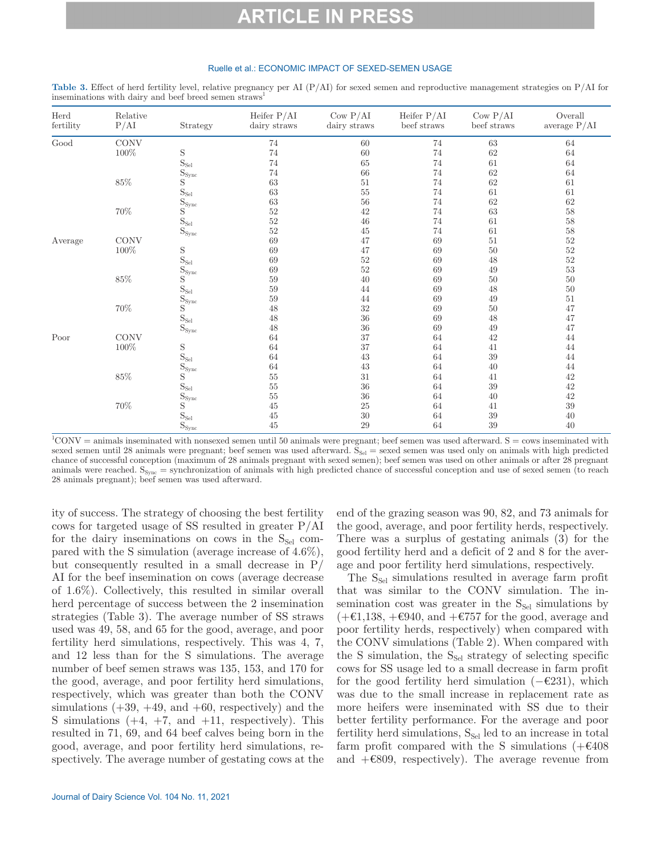#### Ruelle et al.: ECONOMIC IMPACT OF SEXED-SEMEN USAGE

| Herd<br>fertility     | Relative<br>P/AI | Strategy                     | Heifer $P/AI$<br>dairy straws | $\text{Cow P/AI}$<br>dairy straws | Heifer $P/AI$<br>beef straws | Cow P/AI<br>beef straws | Overall<br>average $P/AI$ |
|-----------------------|------------------|------------------------------|-------------------------------|-----------------------------------|------------------------------|-------------------------|---------------------------|
| Good                  | $\rm CONV$       |                              | 74                            | 60                                | 74                           | $63\,$                  | 64                        |
|                       | $100\%$          | $\mathbf S$                  | 74                            | 60                                | 74                           | 62                      | 64                        |
|                       |                  | $\mathcal{S}_{\mathrm{Sel}}$ | $74\,$                        | 65                                | 74                           | 61                      | 64                        |
|                       |                  | $\mathrm{S}_{\mathrm{sync}}$ | 74                            | 66                                | 74                           | 62                      | 64                        |
|                       | $85\%$           | $\mathbf S$                  | 63                            | 51                                | 74                           | 62                      | 61                        |
|                       |                  | $\mathrm{S}_\text{Sel}$      | $63\,$                        | $55\,$                            | 74                           | 61                      | 61                        |
|                       |                  | $\mathrm{S}_{\mathrm{sync}}$ | $63\,$                        | $56\,$                            | 74                           | 62                      | 62                        |
|                       | $70\%$           | $\mathbf S$                  | $52\,$                        | 42                                | 74                           | 63                      | $58\,$                    |
|                       |                  | $\mathcal{S}_{\mathrm{Sel}}$ | $52\,$                        | $\sqrt{46}$                       | 74                           | 61                      | $58\,$                    |
|                       |                  | $\mathrm{S}_{\mathrm{sync}}$ | $52\,$                        | 45                                | 74                           | 61                      | $58\,$                    |
| Average               | <b>CONV</b>      |                              | 69                            | 47                                | 69                           | 51                      | $52\,$                    |
|                       | $100\%$          | S                            | 69                            | 47                                | 69                           | 50                      | $52\,$                    |
|                       |                  | $\mathrm{S}_\text{Sel}$      | 69                            | $52\,$                            | 69                           | 48                      | $52\,$                    |
|                       |                  | $S_{\text{sync}}$            | 69                            | $52\,$                            | 69                           | 49                      | $53\,$                    |
|                       | $85\%$           | $\mathbf S$                  | $59\,$                        | 40                                | 69                           | 50                      | $50\,$                    |
|                       |                  | $\mathcal{S}_{\mathrm{Sel}}$ | $59\,$                        | 44                                | 69                           | 48                      | $50\,$                    |
|                       |                  | $S_{\text{sync}}$            | $59\,$                        | 44                                | 69                           | 49                      | $51\,$                    |
|                       | $70\%$           | S                            | 48                            | $32\,$                            | 69                           | 50                      | 47                        |
|                       |                  | $\mathcal{S}_{\mathrm{Sel}}$ | $48\,$                        | $36\,$                            | 69                           | 48                      | 47                        |
|                       |                  | $\mathrm{S}_{\mathrm{sync}}$ | $48\,$                        | $36\,$                            | 69                           | 49                      | 47                        |
| $\operatorname{Poor}$ | <b>CONV</b>      |                              | 64                            | 37                                | 64                           | 42                      | 44                        |
|                       | 100%             | S                            | 64                            | 37                                | 64                           | 41                      | 44                        |
|                       |                  | $\mathrm{S}_{\mathrm{Sel}}$  | 64                            | $43\,$                            | 64                           | 39                      | 44                        |
|                       |                  | $\mathrm{S}_{\mathrm{sync}}$ | $64\,$                        | 43                                | 64                           | 40                      | 44                        |
|                       | $85\%$           | $\mathbf S$                  | $55\,$                        | 31                                | 64                           | 41                      | 42                        |
|                       |                  | $\mathcal{S}_{\mathrm{Sel}}$ | $55\,$                        | $36\,$                            | 64                           | 39                      | 42                        |
|                       |                  | $\mathrm{S}_{\mathrm{sync}}$ | $55\,$                        | $36\,$                            | 64                           | 40                      | 42                        |
|                       | $70\%$           | $\mathbf S$                  | $45\,$                        | 25                                | 64                           | 41                      | $39\,$                    |
|                       |                  | $\mathbf{S}_{\mathrm{Sel}}$  | 45                            | $30\,$                            | 64                           | 39                      | $40\,$                    |
|                       |                  | $S_{\text{sync}}$            | 45                            | 29                                | 64                           | 39                      | 40                        |

**Table 3.** Effect of herd fertility level, relative pregnancy per AI (P/AI) for sexed semen and reproductive management strategies on P/AI for inseminations with dairy and beef breed semen straws

 ${}^{1}$ CONV = animals inseminated with nonsexed semen until 50 animals were pregnant; beef semen was used afterward. S = cows inseminated with sexed semen until 28 animals were pregnant; beef semen was used afterward.  $S_{\text{Sel}}$  = sexed semen was used only on animals with high predicted chance of successful conception (maximum of 28 animals pregnant with sexed semen); beef semen was used on other animals or after 28 pregnant animals were reached.  $S_{\text{Syc}} =$  synchronization of animals with high predicted chance of successful conception and use of sexed semen (to reach 28 animals pregnant); beef semen was used afterward.

ity of success. The strategy of choosing the best fertility cows for targeted usage of SS resulted in greater P/AI for the dairy inseminations on cows in the  $S_{\text{Sel}}$  compared with the S simulation (average increase of 4.6%), but consequently resulted in a small decrease in  $P/$ AI for the beef insemination on cows (average decrease of 1.6%). Collectively, this resulted in similar overall herd percentage of success between the 2 insemination strategies (Table 3). The average number of SS straws used was 49, 58, and 65 for the good, average, and poor fertility herd simulations, respectively. This was 4, 7, and 12 less than for the S simulations. The average number of beef semen straws was 135, 153, and 170 for the good, average, and poor fertility herd simulations, respectively, which was greater than both the CONV simulations  $(+39, +49, \text{ and } +60, \text{ respectively})$  and the S simulations  $(+4, +7, \text{ and } +11, \text{ respectively})$ . This resulted in 71, 69, and 64 beef calves being born in the good, average, and poor fertility herd simulations, respectively. The average number of gestating cows at the

end of the grazing season was 90, 82, and 73 animals for the good, average, and poor fertility herds, respectively. There was a surplus of gestating animals (3) for the good fertility herd and a deficit of 2 and 8 for the average and poor fertility herd simulations, respectively.

The  $S_{\text{Sel}}$  simulations resulted in average farm profit that was similar to the CONV simulation. The insemination cost was greater in the  $S_{\text{Sel}}$  simulations by  $(+\epsilon 1,138, +\epsilon 940,$  and  $+\epsilon 757$  for the good, average and poor fertility herds, respectively) when compared with the CONV simulations (Table 2). When compared with the S simulation, the  $S_{\text{Sel}}$  strategy of selecting specific cows for SS usage led to a small decrease in farm profit for the good fertility herd simulation (−€231), which was due to the small increase in replacement rate as more heifers were inseminated with SS due to their better fertility performance. For the average and poor fertility herd simulations,  $S_{\text{Sel}}$  led to an increase in total farm profit compared with the S simulations  $(+\epsilon)408$ and  $+$ €809, respectively). The average revenue from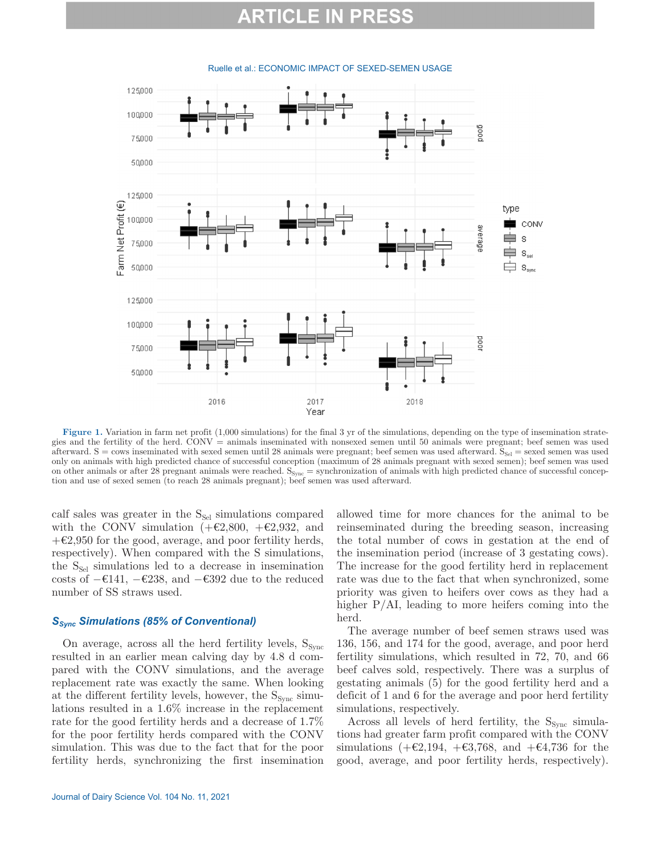# RTICLE IN

125,000 100,000 poop 75000 50,000 125,000 Farm Net Profit (€) type 100,000 CONV эрыза s 75,000  $\mathbf{S}_\text{sel}$ 50,000  $S_{syn}$ 125,000 100,000 100d 75,000 50,000 2016 2017 2018 Year

#### Ruelle et al.: ECONOMIC IMPACT OF SEXED-SEMEN USAGE

**Figure 1.** Variation in farm net profit (1,000 simulations) for the final 3 yr of the simulations, depending on the type of insemination strategies and the fertility of the herd. CONV = animals inseminated with nonsexed semen until 50 animals were pregnant; beef semen was used afterward.  $S = \text{cows}$  inseminated with sexed semen until 28 animals were pregnant; beef semen was used afterward.  $S_{\text{Sel}} = \text{sexd}$  semen was used only on animals with high predicted chance of successful conception (maximum of 28 animals pregnant with sexed semen); beef semen was used on other animals or after 28 pregnant animals were reached.  $S_{\text{sync}}$  = synchronization of animals with high predicted chance of successful conception and use of sexed semen (to reach 28 animals pregnant); beef semen was used afterward.

calf sales was greater in the  $S_{\text{Sel}}$  simulations compared with the CONV simulation  $(+\epsilon 2,800, +\epsilon 2,932, )$  and  $+\epsilon 2,950$  for the good, average, and poor fertility herds, respectively). When compared with the S simulations, the  $S_{\text{Sel}}$  simulations led to a decrease in insemination costs of  $-€141, -€238,$  and  $-€392$  due to the reduced number of SS straws used.

## **S<sub>Sync</sub> Simulations (85% of Conventional)**

On average, across all the herd fertility levels,  $S_{Sync}$ resulted in an earlier mean calving day by 4.8 d compared with the CONV simulations, and the average replacement rate was exactly the same. When looking at the different fertility levels, however, the  $S_{Sync}$  simulations resulted in a 1.6% increase in the replacement rate for the good fertility herds and a decrease of 1.7% for the poor fertility herds compared with the CONV simulation. This was due to the fact that for the poor fertility herds, synchronizing the first insemination allowed time for more chances for the animal to be reinseminated during the breeding season, increasing the total number of cows in gestation at the end of the insemination period (increase of 3 gestating cows). The increase for the good fertility herd in replacement rate was due to the fact that when synchronized, some priority was given to heifers over cows as they had a higher P/AI, leading to more heifers coming into the herd.

The average number of beef semen straws used was 136, 156, and 174 for the good, average, and poor herd fertility simulations, which resulted in 72, 70, and 66 beef calves sold, respectively. There was a surplus of gestating animals (5) for the good fertility herd and a deficit of 1 and 6 for the average and poor herd fertility simulations, respectively.

Across all levels of herd fertility, the  $S_{\text{sync}}$  simulations had greater farm profit compared with the CONV simulations (+€2,194, +€3,768, and +€4,736 for the good, average, and poor fertility herds, respectively).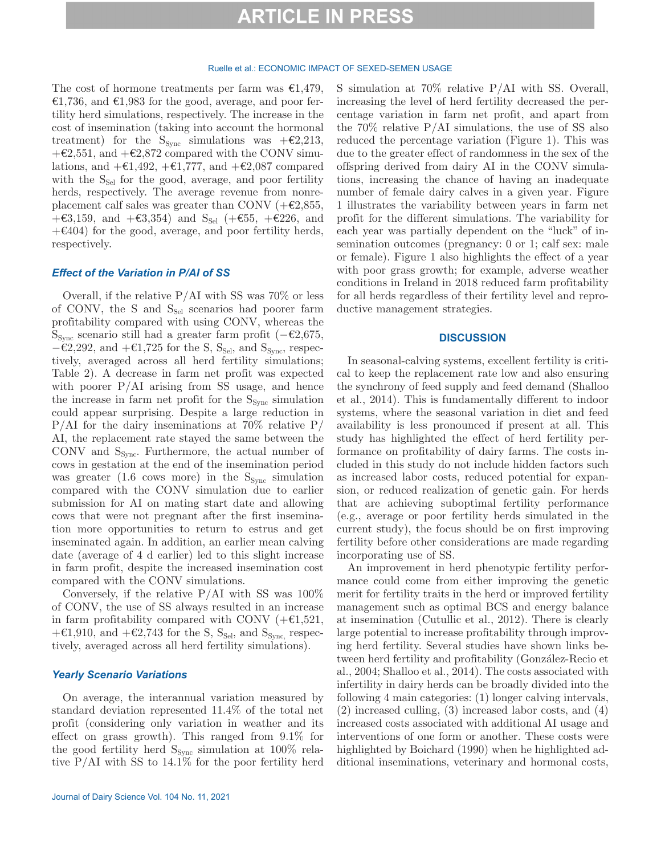#### Ruelle et al.: ECONOMIC IMPACT OF SEXED-SEMEN USAGE

The cost of hormone treatments per farm was  $\epsilon 1,479$ , €1,736, and €1,983 for the good, average, and poor fertility herd simulations, respectively. The increase in the cost of insemination (taking into account the hormonal treatment) for the  $S_{\text{sync}}$  simulations was +€2,213,  $+\epsilon 2,551$ , and  $+\epsilon 2,872$  compared with the CONV simulations, and  $+\epsilon 1,492, +\epsilon 1,777,$  and  $+\epsilon 2,087$  compared with the  $S_{\text{Sel}}$  for the good, average, and poor fertility herds, respectively. The average revenue from nonreplacement calf sales was greater than CONV ( $+\epsilon 2,855$ ,  $+€3,159$ , and  $+€3,354$ ) and S<sub>Sel</sub> ( $+€55$ ,  $+€226$ , and  $+\epsilon$ 404) for the good, average, and poor fertility herds, respectively.

## *Effect of the Variation in P/AI of SS*

Overall, if the relative  $P/AI$  with SS was 70% or less of CONV, the S and  $S_{\text{Sel}}$  scenarios had poorer farm profitability compared with using CONV, whereas the S<sub>Sync</sub> scenario still had a greater farm profit ( $-\epsilon$ 2,675,  $−€2,292$ , and  $+€1,725$  for the S, S<sub>Sel</sub>, and S<sub>Sync</sub>, respectively, averaged across all herd fertility simulations; Table 2). A decrease in farm net profit was expected with poorer  $P/AI$  arising from SS usage, and hence the increase in farm net profit for the  $S_{\text{Svac}}$  simulation could appear surprising. Despite a large reduction in  $P/AI$  for the dairy inseminations at 70% relative P/ AI, the replacement rate stayed the same between the CONV and  $S_{Sync}$ . Furthermore, the actual number of cows in gestation at the end of the insemination period was greater (1.6 cows more) in the  $S_{Sync}$  simulation compared with the CONV simulation due to earlier submission for AI on mating start date and allowing cows that were not pregnant after the first insemination more opportunities to return to estrus and get inseminated again. In addition, an earlier mean calving date (average of 4 d earlier) led to this slight increase in farm profit, despite the increased insemination cost compared with the CONV simulations.

Conversely, if the relative P/AI with SS was 100% of CONV, the use of SS always resulted in an increase in farm profitability compared with CONV  $(+61,521,$ + $\epsilon$ 1,910, and + $\epsilon$ 2,743 for the S, S<sub>Sel</sub>, and S<sub>Sync,</sub> respectively, averaged across all herd fertility simulations).

### *Yearly Scenario Variations*

On average, the interannual variation measured by standard deviation represented 11.4% of the total net profit (considering only variation in weather and its effect on grass growth). This ranged from 9.1% for the good fertility herd  $S_{\text{sync}}$  simulation at 100% relative  $P/AI$  with SS to  $14.1\%$  for the poor fertility herd S simulation at 70% relative P/AI with SS. Overall, increasing the level of herd fertility decreased the percentage variation in farm net profit, and apart from the 70% relative P/AI simulations, the use of SS also reduced the percentage variation (Figure 1). This was due to the greater effect of randomness in the sex of the offspring derived from dairy AI in the CONV simulations, increasing the chance of having an inadequate number of female dairy calves in a given year. Figure 1 illustrates the variability between years in farm net profit for the different simulations. The variability for each year was partially dependent on the "luck" of insemination outcomes (pregnancy: 0 or 1; calf sex: male or female). Figure 1 also highlights the effect of a year with poor grass growth; for example, adverse weather conditions in Ireland in 2018 reduced farm profitability for all herds regardless of their fertility level and reproductive management strategies.

### **DISCUSSION**

In seasonal-calving systems, excellent fertility is critical to keep the replacement rate low and also ensuring the synchrony of feed supply and feed demand (Shalloo et al., 2014). This is fundamentally different to indoor systems, where the seasonal variation in diet and feed availability is less pronounced if present at all. This study has highlighted the effect of herd fertility performance on profitability of dairy farms. The costs included in this study do not include hidden factors such as increased labor costs, reduced potential for expansion, or reduced realization of genetic gain. For herds that are achieving suboptimal fertility performance (e.g., average or poor fertility herds simulated in the current study), the focus should be on first improving fertility before other considerations are made regarding incorporating use of SS.

An improvement in herd phenotypic fertility performance could come from either improving the genetic merit for fertility traits in the herd or improved fertility management such as optimal BCS and energy balance at insemination (Cutullic et al., 2012). There is clearly large potential to increase profitability through improving herd fertility. Several studies have shown links between herd fertility and profitability (González-Recio et al., 2004; Shalloo et al., 2014). The costs associated with infertility in dairy herds can be broadly divided into the following 4 main categories: (1) longer calving intervals, (2) increased culling, (3) increased labor costs, and (4) increased costs associated with additional AI usage and interventions of one form or another. These costs were highlighted by Boichard (1990) when he highlighted additional inseminations, veterinary and hormonal costs,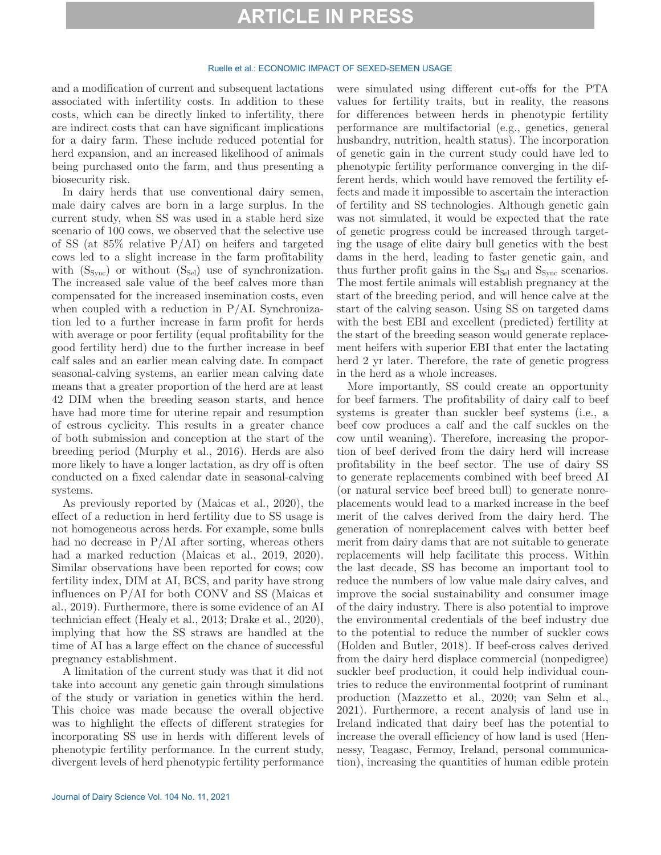### Ruelle et al.: ECONOMIC IMPACT OF SEXED-SEMEN USAGE

and a modification of current and subsequent lactations associated with infertility costs. In addition to these costs, which can be directly linked to infertility, there are indirect costs that can have significant implications for a dairy farm. These include reduced potential for herd expansion, and an increased likelihood of animals being purchased onto the farm, and thus presenting a biosecurity risk.

In dairy herds that use conventional dairy semen, male dairy calves are born in a large surplus. In the current study, when SS was used in a stable herd size scenario of 100 cows, we observed that the selective use of SS (at 85% relative P/AI) on heifers and targeted cows led to a slight increase in the farm profitability with  $(S_{\text{sync}})$  or without  $(S_{\text{Sel}})$  use of synchronization. The increased sale value of the beef calves more than compensated for the increased insemination costs, even when coupled with a reduction in  $P/AI$ . Synchronization led to a further increase in farm profit for herds with average or poor fertility (equal profitability for the good fertility herd) due to the further increase in beef calf sales and an earlier mean calving date. In compact seasonal-calving systems, an earlier mean calving date means that a greater proportion of the herd are at least 42 DIM when the breeding season starts, and hence have had more time for uterine repair and resumption of estrous cyclicity. This results in a greater chance of both submission and conception at the start of the breeding period (Murphy et al., 2016). Herds are also more likely to have a longer lactation, as dry off is often conducted on a fixed calendar date in seasonal-calving systems.

As previously reported by (Maicas et al., 2020), the effect of a reduction in herd fertility due to SS usage is not homogeneous across herds. For example, some bulls had no decrease in  $P/AI$  after sorting, whereas others had a marked reduction (Maicas et al., 2019, 2020). Similar observations have been reported for cows; cow fertility index, DIM at AI, BCS, and parity have strong influences on P/AI for both CONV and SS (Maicas et al., 2019). Furthermore, there is some evidence of an AI technician effect (Healy et al., 2013; Drake et al., 2020), implying that how the SS straws are handled at the time of AI has a large effect on the chance of successful pregnancy establishment.

A limitation of the current study was that it did not take into account any genetic gain through simulations of the study or variation in genetics within the herd. This choice was made because the overall objective was to highlight the effects of different strategies for incorporating SS use in herds with different levels of phenotypic fertility performance. In the current study, divergent levels of herd phenotypic fertility performance

Journal of Dairy Science Vol. 104 No. 11, 2021

were simulated using different cut-offs for the PTA values for fertility traits, but in reality, the reasons for differences between herds in phenotypic fertility performance are multifactorial (e.g., genetics, general husbandry, nutrition, health status). The incorporation of genetic gain in the current study could have led to phenotypic fertility performance converging in the different herds, which would have removed the fertility effects and made it impossible to ascertain the interaction of fertility and SS technologies. Although genetic gain was not simulated, it would be expected that the rate of genetic progress could be increased through targeting the usage of elite dairy bull genetics with the best dams in the herd, leading to faster genetic gain, and thus further profit gains in the  $S_{\text{Sel}}$  and  $S_{\text{sync}}$  scenarios. The most fertile animals will establish pregnancy at the start of the breeding period, and will hence calve at the start of the calving season. Using SS on targeted dams with the best EBI and excellent (predicted) fertility at the start of the breeding season would generate replacement heifers with superior EBI that enter the lactating herd 2 yr later. Therefore, the rate of genetic progress in the herd as a whole increases.

More importantly, SS could create an opportunity for beef farmers. The profitability of dairy calf to beef systems is greater than suckler beef systems (i.e., a beef cow produces a calf and the calf suckles on the cow until weaning). Therefore, increasing the proportion of beef derived from the dairy herd will increase profitability in the beef sector. The use of dairy SS to generate replacements combined with beef breed AI (or natural service beef breed bull) to generate nonreplacements would lead to a marked increase in the beef merit of the calves derived from the dairy herd. The generation of nonreplacement calves with better beef merit from dairy dams that are not suitable to generate replacements will help facilitate this process. Within the last decade, SS has become an important tool to reduce the numbers of low value male dairy calves, and improve the social sustainability and consumer image of the dairy industry. There is also potential to improve the environmental credentials of the beef industry due to the potential to reduce the number of suckler cows (Holden and Butler, 2018). If beef-cross calves derived from the dairy herd displace commercial (nonpedigree) suckler beef production, it could help individual countries to reduce the environmental footprint of ruminant production (Mazzetto et al., 2020; van Selm et al., 2021). Furthermore, a recent analysis of land use in Ireland indicated that dairy beef has the potential to increase the overall efficiency of how land is used (Hennessy, Teagasc, Fermoy, Ireland, personal communication), increasing the quantities of human edible protein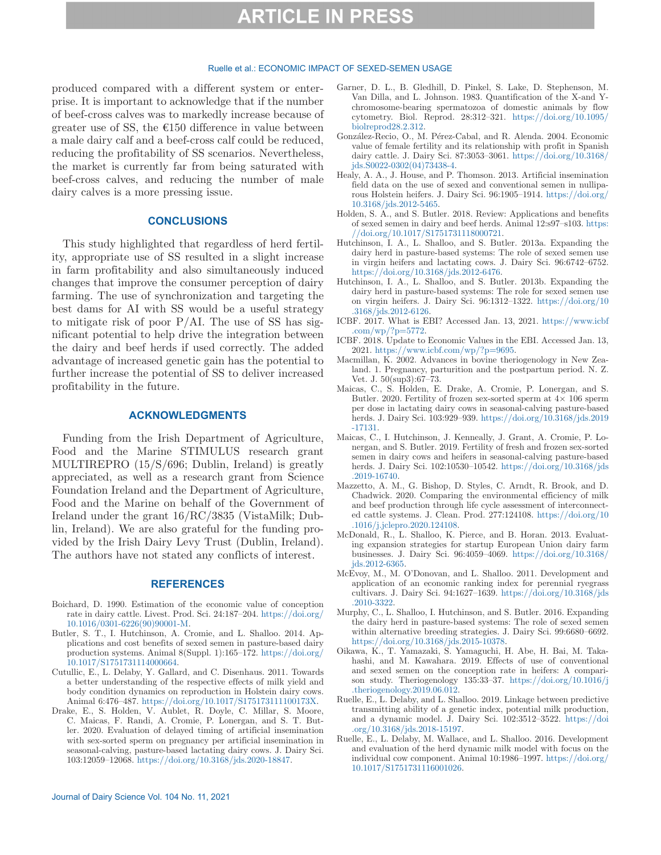### Ruelle et al.: ECONOMIC IMPACT OF SEXED-SEMEN USAGE

produced compared with a different system or enterprise. It is important to acknowledge that if the number of beef-cross calves was to markedly increase because of greater use of SS, the  $E150$  difference in value between a male dairy calf and a beef-cross calf could be reduced, reducing the profitability of SS scenarios. Nevertheless, the market is currently far from being saturated with beef-cross calves, and reducing the number of male dairy calves is a more pressing issue.

### **CONCLUSIONS**

This study highlighted that regardless of herd fertility, appropriate use of SS resulted in a slight increase in farm profitability and also simultaneously induced changes that improve the consumer perception of dairy farming. The use of synchronization and targeting the best dams for AI with SS would be a useful strategy to mitigate risk of poor  $P/AL$ . The use of SS has significant potential to help drive the integration between the dairy and beef herds if used correctly. The added advantage of increased genetic gain has the potential to further increase the potential of SS to deliver increased profitability in the future.

### **ACKNOWLEDGMENTS**

Funding from the Irish Department of Agriculture, Food and the Marine STIMULUS research grant MULTIREPRO (15/S/696; Dublin, Ireland) is greatly appreciated, as well as a research grant from Science Foundation Ireland and the Department of Agriculture, Food and the Marine on behalf of the Government of Ireland under the grant 16/RC/3835 (VistaMilk; Dublin, Ireland). We are also grateful for the funding provided by the Irish Dairy Levy Trust (Dublin, Ireland). The authors have not stated any conflicts of interest.

### **REFERENCES**

- Boichard, D. 1990. Estimation of the economic value of conception rate in dairy cattle. Livest. Prod. Sci. 24:187–204. [https://doi.org/](https://doi.org/10.1016/0301-6226(90)90001-M) [10.1016/0301-6226\(90\)90001-M.](https://doi.org/10.1016/0301-6226(90)90001-M)
- Butler, S. T., I. Hutchinson, A. Cromie, and L. Shalloo. 2014. Applications and cost benefits of sexed semen in pasture-based dairy production systems. Animal 8(Suppl. 1):165–172. [https://doi.org/](https://doi.org/10.1017/S1751731114000664) [10.1017/S1751731114000664.](https://doi.org/10.1017/S1751731114000664)
- Cutullic, E., L. Delaby, Y. Gallard, and C. Disenhaus. 2011. Towards a better understanding of the respective effects of milk yield and body condition dynamics on reproduction in Holstein dairy cows. Animal 6:476–487.<https://doi.org/10.1017/S175173111100173X>.
- Drake, E., S. Holden, V. Aublet, R. Doyle, C. Millar, S. Moore, C. Maicas, F. Randi, A. Cromie, P. Lonergan, and S. T. Butler. 2020. Evaluation of delayed timing of artificial insemination with sex-sorted sperm on pregnancy per artificial insemination in seasonal-calving, pasture-based lactating dairy cows. J. Dairy Sci. 103:12059–12068. [https://doi.org/10.3168/jds.2020-18847.](https://doi.org/10.3168/jds.2020-18847)
- Garner, D. L., B. Gledhill, D. Pinkel, S. Lake, D. Stephenson, M. Van Dilla, and L. Johnson. 1983. Quantification of the X-and Ychromosome-bearing spermatozoa of domestic animals by flow cytometry. Biol. Reprod. 28:312–321. [https://doi.org/10.1095/](https://doi.org/10.1095/biolreprod28.2.312) [biolreprod28.2.312](https://doi.org/10.1095/biolreprod28.2.312).
- González-Recio, O., M. Pérez-Cabal, and R. Alenda. 2004. Economic value of female fertility and its relationship with profit in Spanish dairy cattle. J. Dairy Sci. 87:3053–3061. [https://doi.org/10.3168/](https://doi.org/10.3168/jds.S0022-0302(04)73438-4) [jds.S0022-0302\(04\)73438-4](https://doi.org/10.3168/jds.S0022-0302(04)73438-4).
- Healy, A. A., J. House, and P. Thomson. 2013. Artificial insemination field data on the use of sexed and conventional semen in nulliparous Holstein heifers. J. Dairy Sci. 96:1905–1914. [https://doi.org/](https://doi.org/10.3168/jds.2012-5465) [10.3168/jds.2012-5465.](https://doi.org/10.3168/jds.2012-5465)
- Holden, S. A., and S. Butler. 2018. Review: Applications and benefits of sexed semen in dairy and beef herds. Animal 12:s97–s103. [https:](https://doi.org/10.1017/S1751731118000721) [//doi.org/10.1017/S1751731118000721.](https://doi.org/10.1017/S1751731118000721)
- Hutchinson, I. A., L. Shalloo, and S. Butler. 2013a. Expanding the dairy herd in pasture-based systems: The role of sexed semen use in virgin heifers and lactating cows. J. Dairy Sci. 96:6742–6752. [https://doi.org/10.3168/jds.2012-6476.](https://doi.org/10.3168/jds.2012-6476)
- Hutchinson, I. A., L. Shalloo, and S. Butler. 2013b. Expanding the dairy herd in pasture-based systems: The role for sexed semen use on virgin heifers. J. Dairy Sci. 96:1312–1322. [https://doi.org/10](https://doi.org/10.3168/jds.2012-6126) [.3168/jds.2012-6126](https://doi.org/10.3168/jds.2012-6126).
- ICBF. 2017. What is EBI? Accessed Jan. 13, 2021. [https://www.icbf](https://www.icbf.com/wp/?p=5772) [.com/wp/?p=5772](https://www.icbf.com/wp/?p=5772).
- ICBF. 2018. Update to Economic Values in the EBI. Accessed Jan. 13, 2021. <https://www.icbf.com/wp/?p=9695>.
- Macmillan, K. 2002. Advances in bovine theriogenology in New Zealand. 1. Pregnancy, parturition and the postpartum period. N. Z. Vet. J. 50(sup3):67–73.
- Maicas, C., S. Holden, E. Drake, A. Cromie, P. Lonergan, and S. Butler. 2020. Fertility of frozen sex-sorted sperm at  $4 \times 106$  sperm per dose in lactating dairy cows in seasonal-calving pasture-based herds. J. Dairy Sci. 103:929–939. [https://doi.org/10.3168/jds.2019](https://doi.org/10.3168/jds.2019-17131) [-17131](https://doi.org/10.3168/jds.2019-17131).
- Maicas, C., I. Hutchinson, J. Kenneally, J. Grant, A. Cromie, P. Lonergan, and S. Butler. 2019. Fertility of fresh and frozen sex-sorted semen in dairy cows and heifers in seasonal-calving pasture-based herds. J. Dairy Sci. 102:10530–10542. [https://doi.org/10.3168/jds](https://doi.org/10.3168/jds.2019-16740) [.2019-16740](https://doi.org/10.3168/jds.2019-16740).
- Mazzetto, A. M., G. Bishop, D. Styles, C. Arndt, R. Brook, and D. Chadwick. 2020. Comparing the environmental efficiency of milk and beef production through life cycle assessment of interconnected cattle systems. J. Clean. Prod. 277:124108. [https://doi.org/10](https://doi.org/10.1016/j.jclepro.2020.124108) [.1016/j.jclepro.2020.124108.](https://doi.org/10.1016/j.jclepro.2020.124108)
- McDonald, R., L. Shalloo, K. Pierce, and B. Horan. 2013. Evaluating expansion strategies for startup European Union dairy farm businesses. J. Dairy Sci. 96:4059–4069. [https://doi.org/10.3168/](https://doi.org/10.3168/jds.2012-6365) [jds.2012-6365](https://doi.org/10.3168/jds.2012-6365).
- McEvoy, M., M. O'Donovan, and L. Shalloo. 2011. Development and application of an economic ranking index for perennial ryegrass cultivars. J. Dairy Sci. 94:1627–1639. [https://doi.org/10.3168/jds](https://doi.org/10.3168/jds.2010-3322) [.2010-3322](https://doi.org/10.3168/jds.2010-3322).
- Murphy, C., L. Shalloo, I. Hutchinson, and S. Butler. 2016. Expanding the dairy herd in pasture-based systems: The role of sexed semen within alternative breeding strategies. J. Dairy Sci. 99:6680–6692. [https://doi.org/10.3168/jds.2015-10378.](https://doi.org/10.3168/jds.2015-10378)
- Oikawa, K., T. Yamazaki, S. Yamaguchi, H. Abe, H. Bai, M. Takahashi, and M. Kawahara. 2019. Effects of use of conventional and sexed semen on the conception rate in heifers: A comparison study. Theriogenology 135:33–37. [https://doi.org/10.1016/j](https://doi.org/10.1016/j.theriogenology.2019.06.012) [.theriogenology.2019.06.012](https://doi.org/10.1016/j.theriogenology.2019.06.012).
- Ruelle, E., L. Delaby, and L. Shalloo. 2019. Linkage between predictive transmitting ability of a genetic index, potential milk production, and a dynamic model. J. Dairy Sci. 102:3512–3522. [https://doi](https://doi.org/10.3168/jds.2018-15197) [.org/10.3168/jds.2018-15197.](https://doi.org/10.3168/jds.2018-15197)
- Ruelle, E., L. Delaby, M. Wallace, and L. Shalloo. 2016. Development and evaluation of the herd dynamic milk model with focus on the individual cow component. Animal 10:1986–1997. [https://doi.org/](https://doi.org/10.1017/S1751731116001026) [10.1017/S1751731116001026.](https://doi.org/10.1017/S1751731116001026)